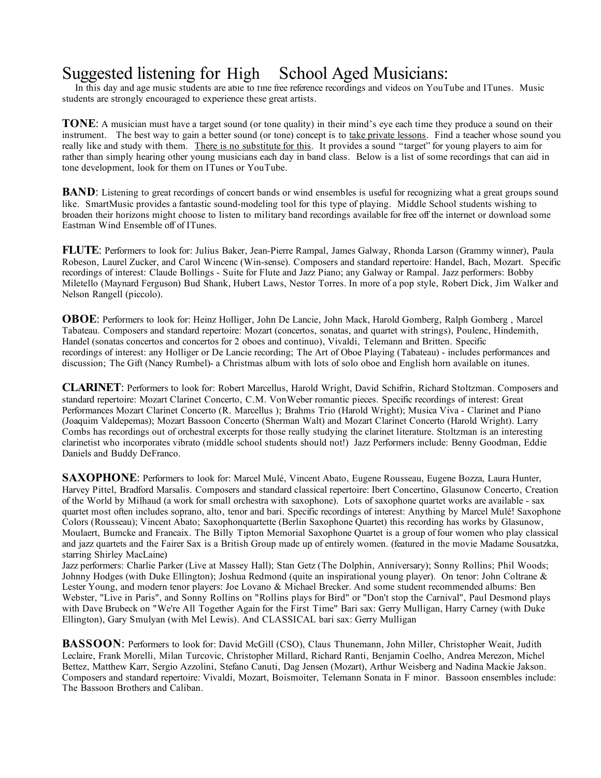## Suggested listening for High School Aged Musicians:

In this day and age music students are able to fine free reference recordings and videos on YouTube and ITunes. Music students are strongly encouraged to experience these great artists.

**TONE**: A musician must have a target sound (or tone quality) in their mind's eye each time they produce a sound on their instrument. The best way to gain a better sound (or tone) concept is to take private lessons. Find a teacher whose sound you really like and study with them. There is no substitute for this. It provides a sound "target" for young players to aim for rather than simply hearing other young musicians each day in band class. Below is a list of some recordings that can aid in tone development, look for them on ITunes or YouTube.

**BAND**: Listening to great recordings of concert bands or wind ensembles is useful for recognizing what a great groups sound like. SmartMusic provides a fantastic sound-modeling tool for this type of playing. Middle School students wishing to broaden their horizons might choose to listen to military band recordings available for free off the internet or download some Eastman Wind Ensemble off of ITunes.

**FLUTE**: Performers to look for: Julius Baker, Jean-Pierre Rampal, James Galway, Rhonda Larson (Grammy winner), Paula Robeson, Laurel Zucker, and Carol Wincenc (Win-sense). Composers and standard repertoire: Handel, Bach, Mozart. Specific recordings of interest: Claude Bollings - Suite for Flute and Jazz Piano; any Galway or Rampal. Jazz performers: Bobby Miletello (Maynard Ferguson) Bud Shank, Hubert Laws, Nestor Torres. In more of a pop style, Robert Dick, Jim Walker and Nelson Rangell (piccolo).

**OBOE**: Performers to look for: Heinz Holliger, John De Lancie, John Mack, Harold Gomberg, Ralph Gomberg , Marcel Tabateau. Composers and standard repertoire: Mozart (concertos, sonatas, and quartet with strings), Poulenc, Hindemith, Handel (sonatas concertos and concertos for 2 oboes and continuo), Vivaldi, Telemann and Britten. Specific recordings of interest: any Holliger or De Lancie recording; The Art of Oboe Playing (Tabateau) - includes performances and discussion; The Gift (Nancy Rumbel)- a Christmas album with lots of solo oboe and English horn available on itunes.

**CLARINET**: Performers to look for: Robert Marcellus, Harold Wright, David Schifrin, Richard Stoltzman. Composers and standard repertoire: Mozart Clarinet Concerto, C.M. VonWeber romantic pieces. Specific recordings of interest: Great Performances Mozart Clarinet Concerto (R. Marcellus ); Brahms Trio (Harold Wright); Musica Viva - Clarinet and Piano (Joaquim Valdepemas); Mozart Bassoon Concerto (Sherman Walt) and Mozart Clarinet Concerto (Harold Wright). Larry Combs has recordings out of orchestral excerpts for those really studying the clarinet literature. Stoltzman is an interesting clarinetist who incorporates vibrato (middle school students should not!) Jazz Performers include: Benny Goodman, Eddie Daniels and Buddy DeFranco.

**SAXOPHONE**: Performers to look for: Marcel Mulé, Vincent Abato, Eugene Rousseau, Eugene Bozza, Laura Hunter, Harvey Pittel, Bradford Marsalis. Composers and standard classical repertoire: Ibert Concertino, Glasunow Concerto, Creation of the World by Milhaud (a work for small orchestra with saxophone). Lots of saxophone quartet works are available - sax quartet most often includes soprano, alto, tenor and bari. Specific recordings of interest: Anything by Marcel Mulé! Saxophone Colors (Rousseau); Vincent Abato; Saxophonquartette (Berlin Saxophone Quartet) this recording has works by Glasunow, Moulaert, Bumcke and Francaix. The Billy Tipton Memorial Saxophone Quartet is a group of four women who play classical and jazz quartets and the Fairer Sax is a British Group made up of entirely women. (featured in the movie Madame Sousatzka, starring Shirley MacLaine)

Jazz performers: Charlie Parker (Live at Massey Hall); Stan Getz (The Dolphin, Anniversary); Sonny Rollins; Phil Woods; Johnny Hodges (with Duke Ellington); Joshua Redmond (quite an inspirational young player). On tenor: John Coltrane & Lester Young, and modern tenor players: Joe Lovano & Michael Brecker. And some student recommended albums: Ben Webster, "Live in Paris", and Sonny Rollins on "Rollins plays for Bird" or "Don't stop the Carnival", Paul Desmond plays with Dave Brubeck on "We're All Together Again for the First Time" Bari sax: Gerry Mulligan, Harry Carney (with Duke Ellington), Gary Smulyan (with Mel Lewis). And CLASSICAL bari sax: Gerry Mulligan

**BASSOON**: Performers to look for: David McGill (CSO), Claus Thunemann, John Miller, Christopher Weait, Judith Leclaire, Frank Morelli, Milan Turcovic, Christopher Millard, Richard Ranti, Benjamin Coelho, Andrea Merezon, Michel Bettez, Matthew Karr, Sergio Azzolini, Stefano Canuti, Dag Jensen (Mozart), Arthur Weisberg and Nadina Mackie Jakson. Composers and standard repertoire: Vivaldi, Mozart, Boismoiter, Telemann Sonata in F minor. Bassoon ensembles include: The Bassoon Brothers and Caliban.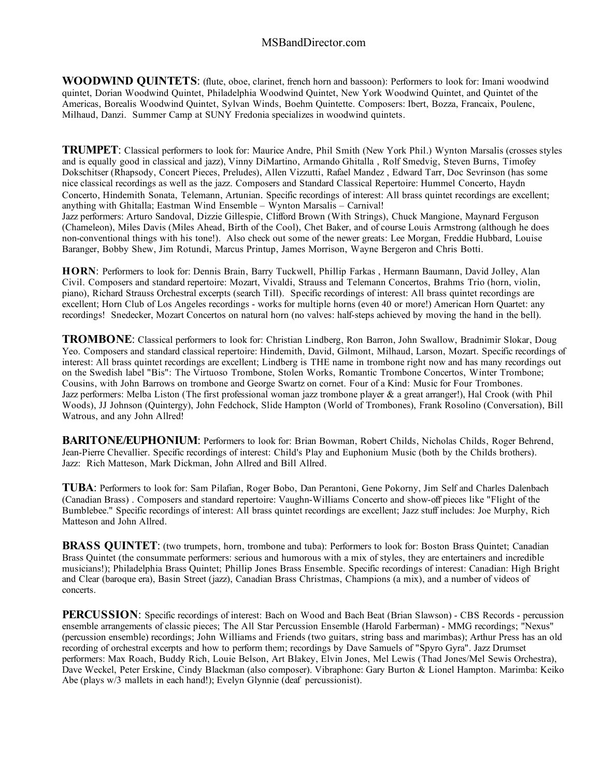**WOODWIND QUINTETS**: (flute, oboe, clarinet, french horn and bassoon): Performers to look for: Imani woodwind quintet, Dorian Woodwind Quintet, Philadelphia Woodwind Quintet, New York Woodwind Quintet, and Quintet of the Americas, Borealis Woodwind Quintet, Sylvan Winds, Boehm Quintette. Composers: Ibert, Bozza, Francaix, Poulenc, Milhaud, Danzi. Summer Camp at SUNY Fredonia specializes in woodwind quintets.

**TRUMPET**: Classical performers to look for: Maurice Andre, Phil Smith (New York Phil.) Wynton Marsalis (crosses styles and is equally good in classical and jazz), Vinny DiMartino, Armando Ghitalla , Rolf Smedvig, Steven Burns, Timofey Dokschitser (Rhapsody, Concert Pieces, Preludes), Allen Vizzutti, Rafael Mandez , Edward Tarr, Doc Sevrinson (has some nice classical recordings as well as the jazz. Composers and Standard Classical Repertoire: Hummel Concerto, Haydn Concerto, Hindemith Sonata, Telemann, Artunian. Specific recordings of interest: All brass quintet recordings are excellent; anything with Ghitalla; Eastman Wind Ensemble – Wynton Marsalis – Carnival! Jazz performers: Arturo Sandoval, Dizzie Gillespie, Clifford Brown (With Strings), Chuck Mangione, Maynard Ferguson (Chameleon), Miles Davis (Miles Ahead, Birth of the Cool), Chet Baker, and of course Louis Armstrong (although he does non-conventional things with his tone!). Also check out some of the newer greats: Lee Morgan, Freddie Hubbard, Louise

**HORN**: Performers to look for: Dennis Brain, Barry Tuckwell, Phillip Farkas , Hermann Baumann, David Jolley, Alan Civil. Composers and standard repertoire: Mozart, Vivaldi, Strauss and Telemann Concertos, Brahms Trio (horn, violin, piano), Richard Strauss Orchestral excerpts (search Till). Specific recordings of interest: All brass quintet recordings are excellent; Horn Club of Los Angeles recordings - works for multiple horns (even 40 or more!) American Horn Quartet: any recordings! Snedecker, Mozart Concertos on natural horn (no valves: half-steps achieved by moving the hand in the bell).

Baranger, Bobby Shew, Jim Rotundi, Marcus Printup, James Morrison, Wayne Bergeron and Chris Botti.

**TROMBONE**: Classical performers to look for: Christian Lindberg, Ron Barron, John Swallow, Bradnimir Slokar, Doug Yeo. Composers and standard classical repertoire: Hindemith, David, Gilmont, Milhaud, Larson, Mozart. Specific recordings of interest: All brass quintet recordings are excellent; Lindberg is THE name in trombone right now and has many recordings out on the Swedish label "Bis": The Virtuoso Trombone, Stolen Works, Romantic Trombone Concertos, Winter Trombone; Cousins, with John Barrows on trombone and George Swartz on cornet. Four of a Kind: Music for Four Trombones. Jazz performers: Melba Liston (The first professional woman jazz trombone player & a great arranger!), Hal Crook (with Phil Woods), JJ Johnson (Quintergy), John Fedchock, Slide Hampton (World of Trombones), Frank Rosolino (Conversation), Bill Watrous, and any John Allred!

**BARITONE/EUPHONIUM:** Performers to look for: Brian Bowman, Robert Childs, Nicholas Childs, Roger Behrend, Jean-Pierre Chevallier. Specific recordings of interest: Child's Play and Euphonium Music (both by the Childs brothers). Jazz: Rich Matteson, Mark Dickman, John Allred and Bill Allred.

**TUBA**: Performers to look for: Sam Pilafian, Roger Bobo, Dan Perantoni, Gene Pokorny, Jim Self and Charles Dalenbach (Canadian Brass) . Composers and standard repertoire: Vaughn-Williams Concerto and show-off pieces like "Flight of the Bumblebee." Specific recordings of interest: All brass quintet recordings are excellent; Jazz stuff includes: Joe Murphy, Rich Matteson and John Allred.

**BRASS QUINTET**: (two trumpets, horn, trombone and tuba): Performers to look for: Boston Brass Quintet; Canadian Brass Quintet (the consummate performers: serious and humorous with a mix of styles, they are entertainers and incredible musicians!); Philadelphia Brass Quintet; Phillip Jones Brass Ensemble. Specific recordings of interest: Canadian: High Bright and Clear (baroque era), Basin Street (jazz), Canadian Brass Christmas, Champions (a mix), and a number of videos of concerts.

**PERCUSSION**: Specific recordings of interest: Bach on Wood and Bach Beat (Brian Slawson) - CBS Records - percussion ensemble arrangements of classic pieces; The All Star Percussion Ensemble (Harold Farberman) - MMG recordings; "Nexus" (percussion ensemble) recordings; John Williams and Friends (two guitars, string bass and marimbas); Arthur Press has an old recording of orchestral excerpts and how to perform them; recordings by Dave Samuels of "Spyro Gyra". Jazz Drumset performers: Max Roach, Buddy Rich, Louie Belson, Art Blakey, Elvin Jones, Mel Lewis (Thad Jones/Mel Sewis Orchestra), Dave Weckel, Peter Erskine, Cindy Blackman (also composer). Vibraphone: Gary Burton & Lionel Hampton. Marimba: Keiko Abe (plays w/3 mallets in each hand!); Evelyn Glynnie (deaf percussionist).